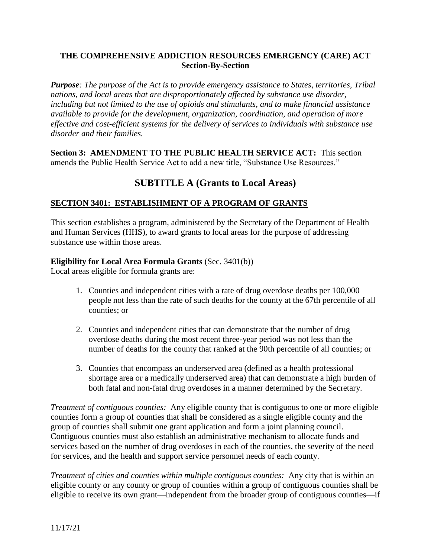### **THE COMPREHENSIVE ADDICTION RESOURCES EMERGENCY (CARE) ACT Section-By-Section**

*Purpose: The purpose of the Act is to provide emergency assistance to States, territories, Tribal nations, and local areas that are disproportionately affected by substance use disorder, including but not limited to the use of opioids and stimulants, and to make financial assistance available to provide for the development, organization, coordination, and operation of more effective and cost-efficient systems for the delivery of services to individuals with substance use disorder and their families.*

**Section 3: AMENDMENT TO THE PUBLIC HEALTH SERVICE ACT:** This section amends the Public Health Service Act to add a new title, "Substance Use Resources."

# **SUBTITLE A (Grants to Local Areas)**

### **SECTION 3401: ESTABLISHMENT OF A PROGRAM OF GRANTS**

This section establishes a program, administered by the Secretary of the Department of Health and Human Services (HHS), to award grants to local areas for the purpose of addressing substance use within those areas.

### **Eligibility for Local Area Formula Grants** (Sec. 3401(b))

Local areas eligible for formula grants are:

- 1. Counties and independent cities with a rate of drug overdose deaths per 100,000 people not less than the rate of such deaths for the county at the 67th percentile of all counties; or
- 2. Counties and independent cities that can demonstrate that the number of drug overdose deaths during the most recent three-year period was not less than the number of deaths for the county that ranked at the 90th percentile of all counties; or
- 3. Counties that encompass an underserved area (defined as a health professional shortage area or a medically underserved area) that can demonstrate a high burden of both fatal and non-fatal drug overdoses in a manner determined by the Secretary.

*Treatment of contiguous counties:* Any eligible county that is contiguous to one or more eligible counties form a group of counties that shall be considered as a single eligible county and the group of counties shall submit one grant application and form a joint planning council. Contiguous counties must also establish an administrative mechanism to allocate funds and services based on the number of drug overdoses in each of the counties, the severity of the need for services, and the health and support service personnel needs of each county.

*Treatment of cities and counties within multiple contiguous counties:* Any city that is within an eligible county or any county or group of counties within a group of contiguous counties shall be eligible to receive its own grant—independent from the broader group of contiguous counties—if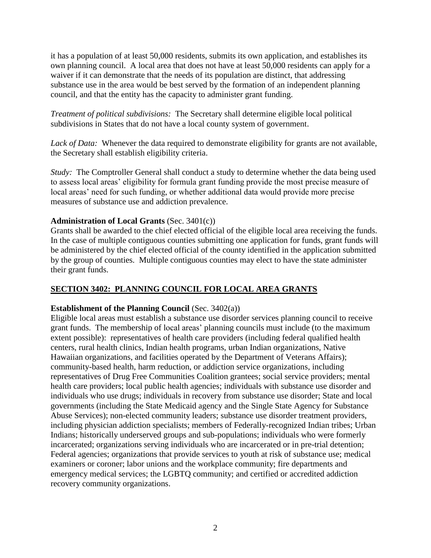it has a population of at least 50,000 residents, submits its own application, and establishes its own planning council. A local area that does not have at least 50,000 residents can apply for a waiver if it can demonstrate that the needs of its population are distinct, that addressing substance use in the area would be best served by the formation of an independent planning council, and that the entity has the capacity to administer grant funding.

*Treatment of political subdivisions:* The Secretary shall determine eligible local political subdivisions in States that do not have a local county system of government.

*Lack of Data:* Whenever the data required to demonstrate eligibility for grants are not available, the Secretary shall establish eligibility criteria.

*Study:* The Comptroller General shall conduct a study to determine whether the data being used to assess local areas' eligibility for formula grant funding provide the most precise measure of local areas' need for such funding, or whether additional data would provide more precise measures of substance use and addiction prevalence.

#### **Administration of Local Grants** (Sec. 3401(c))

Grants shall be awarded to the chief elected official of the eligible local area receiving the funds. In the case of multiple contiguous counties submitting one application for funds, grant funds will be administered by the chief elected official of the county identified in the application submitted by the group of counties. Multiple contiguous counties may elect to have the state administer their grant funds.

### **SECTION 3402: PLANNING COUNCIL FOR LOCAL AREA GRANTS**

#### **Establishment of the Planning Council** (Sec. 3402(a))

Eligible local areas must establish a substance use disorder services planning council to receive grant funds. The membership of local areas' planning councils must include (to the maximum extent possible): representatives of health care providers (including federal qualified health centers, rural health clinics, Indian health programs, urban Indian organizations, Native Hawaiian organizations, and facilities operated by the Department of Veterans Affairs); community-based health, harm reduction, or addiction service organizations, including representatives of Drug Free Communities Coalition grantees; social service providers; mental health care providers; local public health agencies; individuals with substance use disorder and individuals who use drugs; individuals in recovery from substance use disorder; State and local governments (including the State Medicaid agency and the Single State Agency for Substance Abuse Services); non-elected community leaders; substance use disorder treatment providers, including physician addiction specialists; members of Federally-recognized Indian tribes; Urban Indians; historically underserved groups and sub-populations; individuals who were formerly incarcerated; organizations serving individuals who are incarcerated or in pre-trial detention; Federal agencies; organizations that provide services to youth at risk of substance use; medical examiners or coroner; labor unions and the workplace community; fire departments and emergency medical services; the LGBTQ community; and certified or accredited addiction recovery community organizations.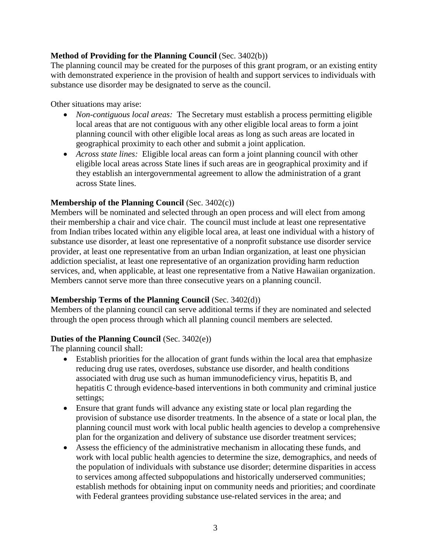### **Method of Providing for the Planning Council** (Sec. 3402(b))

The planning council may be created for the purposes of this grant program, or an existing entity with demonstrated experience in the provision of health and support services to individuals with substance use disorder may be designated to serve as the council.

Other situations may arise:

- *Non-contiguous local areas:* The Secretary must establish a process permitting eligible local areas that are not contiguous with any other eligible local areas to form a joint planning council with other eligible local areas as long as such areas are located in geographical proximity to each other and submit a joint application.
- *Across state lines:* Eligible local areas can form a joint planning council with other eligible local areas across State lines if such areas are in geographical proximity and if they establish an intergovernmental agreement to allow the administration of a grant across State lines.

### **Membership of the Planning Council** (Sec. 3402(c))

Members will be nominated and selected through an open process and will elect from among their membership a chair and vice chair. The council must include at least one representative from Indian tribes located within any eligible local area, at least one individual with a history of substance use disorder, at least one representative of a nonprofit substance use disorder service provider, at least one representative from an urban Indian organization, at least one physician addiction specialist, at least one representative of an organization providing harm reduction services, and, when applicable, at least one representative from a Native Hawaiian organization. Members cannot serve more than three consecutive years on a planning council.

### **Membership Terms of the Planning Council** (Sec. 3402(d))

Members of the planning council can serve additional terms if they are nominated and selected through the open process through which all planning council members are selected.

### **Duties of the Planning Council** (Sec. 3402(e))

The planning council shall:

- Establish priorities for the allocation of grant funds within the local area that emphasize reducing drug use rates, overdoses, substance use disorder, and health conditions associated with drug use such as human immunodeficiency virus, hepatitis B, and hepatitis C through evidence-based interventions in both community and criminal justice settings;
- Ensure that grant funds will advance any existing state or local plan regarding the provision of substance use disorder treatments. In the absence of a state or local plan, the planning council must work with local public health agencies to develop a comprehensive plan for the organization and delivery of substance use disorder treatment services;
- Assess the efficiency of the administrative mechanism in allocating these funds, and work with local public health agencies to determine the size, demographics, and needs of the population of individuals with substance use disorder; determine disparities in access to services among affected subpopulations and historically underserved communities; establish methods for obtaining input on community needs and priorities; and coordinate with Federal grantees providing substance use-related services in the area; and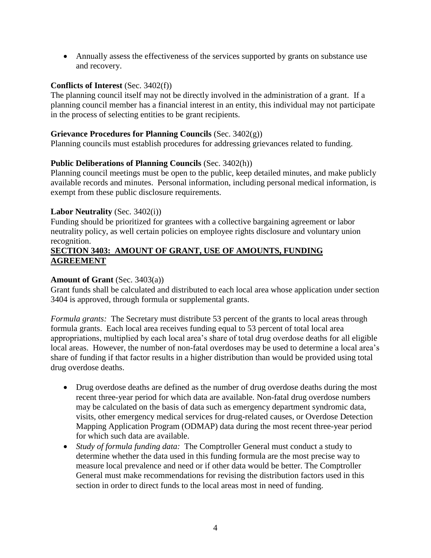Annually assess the effectiveness of the services supported by grants on substance use and recovery.

### **Conflicts of Interest** (Sec. 3402(f))

The planning council itself may not be directly involved in the administration of a grant. If a planning council member has a financial interest in an entity, this individual may not participate in the process of selecting entities to be grant recipients.

### **Grievance Procedures for Planning Councils** (Sec. 3402(g))

Planning councils must establish procedures for addressing grievances related to funding.

### **Public Deliberations of Planning Councils** (Sec. 3402(h))

Planning council meetings must be open to the public, keep detailed minutes, and make publicly available records and minutes. Personal information, including personal medical information, is exempt from these public disclosure requirements.

### **Labor Neutrality** (Sec. 3402(i))

Funding should be prioritized for grantees with a collective bargaining agreement or labor neutrality policy, as well certain policies on employee rights disclosure and voluntary union recognition.

### **SECTION 3403: AMOUNT OF GRANT, USE OF AMOUNTS, FUNDING AGREEMENT**

### **Amount of Grant** (Sec. 3403(a))

Grant funds shall be calculated and distributed to each local area whose application under section 3404 is approved, through formula or supplemental grants.

*Formula grants:* The Secretary must distribute 53 percent of the grants to local areas through formula grants. Each local area receives funding equal to 53 percent of total local area appropriations, multiplied by each local area's share of total drug overdose deaths for all eligible local areas. However, the number of non-fatal overdoses may be used to determine a local area's share of funding if that factor results in a higher distribution than would be provided using total drug overdose deaths.

- Drug overdose deaths are defined as the number of drug overdose deaths during the most recent three-year period for which data are available. Non-fatal drug overdose numbers may be calculated on the basis of data such as emergency department syndromic data, visits, other emergency medical services for drug-related causes, or Overdose Detection Mapping Application Program (ODMAP) data during the most recent three-year period for which such data are available.
- *Study of formula funding data:* The Comptroller General must conduct a study to determine whether the data used in this funding formula are the most precise way to measure local prevalence and need or if other data would be better. The Comptroller General must make recommendations for revising the distribution factors used in this section in order to direct funds to the local areas most in need of funding.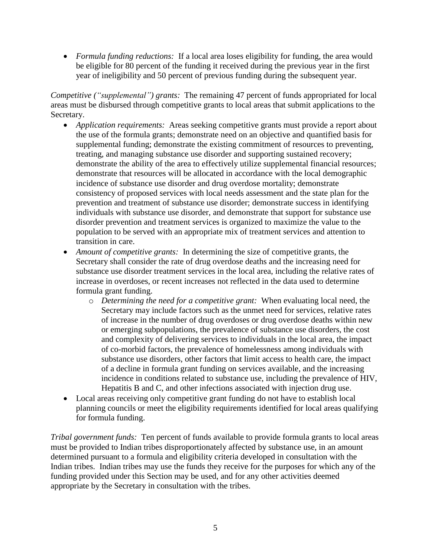*Formula funding reductions:* If a local area loses eligibility for funding, the area would be eligible for 80 percent of the funding it received during the previous year in the first year of ineligibility and 50 percent of previous funding during the subsequent year.

*Competitive ("supplemental") grants:* The remaining 47 percent of funds appropriated for local areas must be disbursed through competitive grants to local areas that submit applications to the Secretary.

- *Application requirements:* Areas seeking competitive grants must provide a report about the use of the formula grants; demonstrate need on an objective and quantified basis for supplemental funding; demonstrate the existing commitment of resources to preventing, treating, and managing substance use disorder and supporting sustained recovery; demonstrate the ability of the area to effectively utilize supplemental financial resources; demonstrate that resources will be allocated in accordance with the local demographic incidence of substance use disorder and drug overdose mortality; demonstrate consistency of proposed services with local needs assessment and the state plan for the prevention and treatment of substance use disorder; demonstrate success in identifying individuals with substance use disorder, and demonstrate that support for substance use disorder prevention and treatment services is organized to maximize the value to the population to be served with an appropriate mix of treatment services and attention to transition in care.
- *Amount of competitive grants:* In determining the size of competitive grants, the Secretary shall consider the rate of drug overdose deaths and the increasing need for substance use disorder treatment services in the local area, including the relative rates of increase in overdoses, or recent increases not reflected in the data used to determine formula grant funding.
	- o *Determining the need for a competitive grant:* When evaluating local need, the Secretary may include factors such as the unmet need for services, relative rates of increase in the number of drug overdoses or drug overdose deaths within new or emerging subpopulations, the prevalence of substance use disorders, the cost and complexity of delivering services to individuals in the local area, the impact of co-morbid factors, the prevalence of homelessness among individuals with substance use disorders, other factors that limit access to health care, the impact of a decline in formula grant funding on services available, and the increasing incidence in conditions related to substance use, including the prevalence of HIV, Hepatitis B and C, and other infections associated with injection drug use.
- Local areas receiving only competitive grant funding do not have to establish local planning councils or meet the eligibility requirements identified for local areas qualifying for formula funding.

*Tribal government funds:* Ten percent of funds available to provide formula grants to local areas must be provided to Indian tribes disproportionately affected by substance use, in an amount determined pursuant to a formula and eligibility criteria developed in consultation with the Indian tribes. Indian tribes may use the funds they receive for the purposes for which any of the funding provided under this Section may be used, and for any other activities deemed appropriate by the Secretary in consultation with the tribes.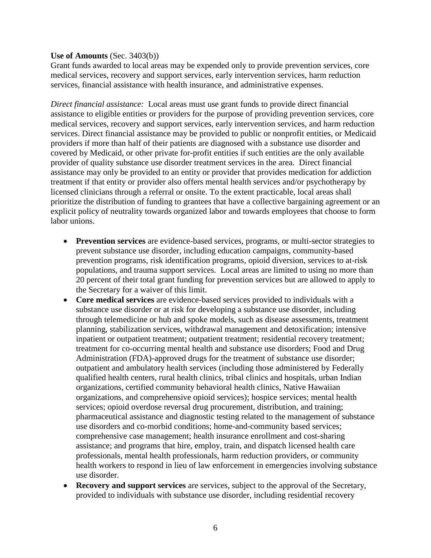#### **Use of Amounts** (Sec. 3403(b))

Grant funds awarded to local areas may be expended only to provide prevention services, core medical services, recovery and support services, early intervention services, harm reduction services, financial assistance with health insurance, and administrative expenses.

*Direct financial assistance:* Local areas must use grant funds to provide direct financial assistance to eligible entities or providers for the purpose of providing prevention services, core medical services, recovery and support services, early intervention services, and harm reduction services. Direct financial assistance may be provided to public or nonprofit entities, or Medicaid providers if more than half of their patients are diagnosed with a substance use disorder and covered by Medicaid, or other private for-profit entities if such entities are the only available provider of quality substance use disorder treatment services in the area. Direct financial assistance may only be provided to an entity or provider that provides medication for addiction treatment if that entity or provider also offers mental health services and/or psychotherapy by licensed clinicians through a referral or onsite. To the extent practicable, local areas shall prioritize the distribution of funding to grantees that have a collective bargaining agreement or an explicit policy of neutrality towards organized labor and towards employees that choose to form labor unions.

- **Prevention services** are evidence-based services, programs, or multi-sector strategies to prevent substance use disorder, including education campaigns, community-based prevention programs, risk identification programs, opioid diversion, services to at-risk populations, and trauma support services. Local areas are limited to using no more than 20 percent of their total grant funding for prevention services but are allowed to apply to the Secretary for a waiver of this limit.
- **Core medical services** are evidence-based services provided to individuals with a substance use disorder or at risk for developing a substance use disorder, including through telemedicine or hub and spoke models, such as disease assessments, treatment planning, stabilization services, withdrawal management and detoxification; intensive inpatient or outpatient treatment; outpatient treatment; residential recovery treatment; treatment for co-occurring mental health and substance use disorders; Food and Drug Administration (FDA)-approved drugs for the treatment of substance use disorder; outpatient and ambulatory health services (including those administered by Federally qualified health centers, rural health clinics, tribal clinics and hospitals, urban Indian organizations, certified community behavioral health clinics, Native Hawaiian organizations, and comprehensive opioid services); hospice services; mental health services; opioid overdose reversal drug procurement, distribution, and training; pharmaceutical assistance and diagnostic testing related to the management of substance use disorders and co-morbid conditions; home-and-community based services; comprehensive case management; health insurance enrollment and cost-sharing assistance; and programs that hire, employ, train, and dispatch licensed health care professionals, mental health professionals, harm reduction providers, or community health workers to respond in lieu of law enforcement in emergencies involving substance use disorder.
- **Recovery and support services** are services, subject to the approval of the Secretary, provided to individuals with substance use disorder, including residential recovery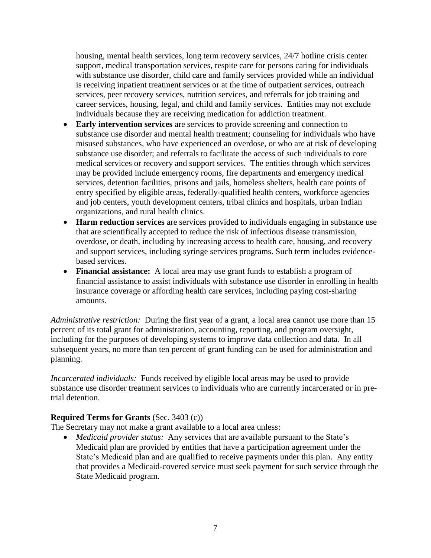housing, mental health services, long term recovery services, 24/7 hotline crisis center support, medical transportation services, respite care for persons caring for individuals with substance use disorder, child care and family services provided while an individual is receiving inpatient treatment services or at the time of outpatient services, outreach services, peer recovery services, nutrition services, and referrals for job training and career services, housing, legal, and child and family services. Entities may not exclude individuals because they are receiving medication for addiction treatment.

- **Early intervention services** are services to provide screening and connection to substance use disorder and mental health treatment; counseling for individuals who have misused substances, who have experienced an overdose, or who are at risk of developing substance use disorder; and referrals to facilitate the access of such individuals to core medical services or recovery and support services. The entities through which services may be provided include emergency rooms, fire departments and emergency medical services, detention facilities, prisons and jails, homeless shelters, health care points of entry specified by eligible areas, federally-qualified health centers, workforce agencies and job centers, youth development centers, tribal clinics and hospitals, urban Indian organizations, and rural health clinics.
- **Harm reduction services** are services provided to individuals engaging in substance use that are scientifically accepted to reduce the risk of infectious disease transmission, overdose, or death, including by increasing access to health care, housing, and recovery and support services, including syringe services programs. Such term includes evidencebased services.
- **Financial assistance:** A local area may use grant funds to establish a program of financial assistance to assist individuals with substance use disorder in enrolling in health insurance coverage or affording health care services, including paying cost-sharing amounts.

*Administrative restriction:* During the first year of a grant, a local area cannot use more than 15 percent of its total grant for administration, accounting, reporting, and program oversight, including for the purposes of developing systems to improve data collection and data. In all subsequent years, no more than ten percent of grant funding can be used for administration and planning.

*Incarcerated individuals:* Funds received by eligible local areas may be used to provide substance use disorder treatment services to individuals who are currently incarcerated or in pretrial detention.

#### **Required Terms for Grants** (Sec. 3403 (c))

The Secretary may not make a grant available to a local area unless:

 *Medicaid provider status:* Any services that are available pursuant to the State's Medicaid plan are provided by entities that have a participation agreement under the State's Medicaid plan and are qualified to receive payments under this plan. Any entity that provides a Medicaid-covered service must seek payment for such service through the State Medicaid program.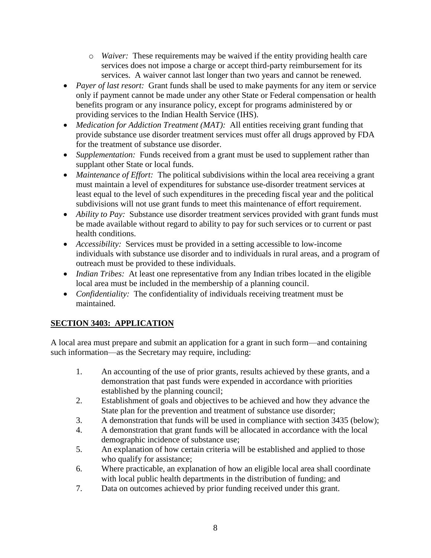- o *Waiver:* These requirements may be waived if the entity providing health care services does not impose a charge or accept third-party reimbursement for its services. A waiver cannot last longer than two years and cannot be renewed.
- *Payer of last resort:* Grant funds shall be used to make payments for any item or service only if payment cannot be made under any other State or Federal compensation or health benefits program or any insurance policy, except for programs administered by or providing services to the Indian Health Service (IHS).
- *Medication for Addiction Treatment (MAT)*: All entities receiving grant funding that provide substance use disorder treatment services must offer all drugs approved by FDA for the treatment of substance use disorder.
- *Supplementation:* Funds received from a grant must be used to supplement rather than supplant other State or local funds.
- *Maintenance of Effort:* The political subdivisions within the local area receiving a grant must maintain a level of expenditures for substance use-disorder treatment services at least equal to the level of such expenditures in the preceding fiscal year and the political subdivisions will not use grant funds to meet this maintenance of effort requirement.
- *Ability to Pay:* Substance use disorder treatment services provided with grant funds must be made available without regard to ability to pay for such services or to current or past health conditions.
- *Accessibility:* Services must be provided in a setting accessible to low-income individuals with substance use disorder and to individuals in rural areas, and a program of outreach must be provided to these individuals.
- *Indian Tribes:* At least one representative from any Indian tribes located in the eligible local area must be included in the membership of a planning council.
- *Confidentiality:* The confidentiality of individuals receiving treatment must be maintained.

# **SECTION 3403: APPLICATION**

A local area must prepare and submit an application for a grant in such form—and containing such information—as the Secretary may require, including:

- 1. An accounting of the use of prior grants, results achieved by these grants, and a demonstration that past funds were expended in accordance with priorities established by the planning council;
- 2. Establishment of goals and objectives to be achieved and how they advance the State plan for the prevention and treatment of substance use disorder;
- 3. A demonstration that funds will be used in compliance with section 3435 (below);
- 4. A demonstration that grant funds will be allocated in accordance with the local demographic incidence of substance use;
- 5. An explanation of how certain criteria will be established and applied to those who qualify for assistance;
- 6. Where practicable, an explanation of how an eligible local area shall coordinate with local public health departments in the distribution of funding; and
- 7. Data on outcomes achieved by prior funding received under this grant.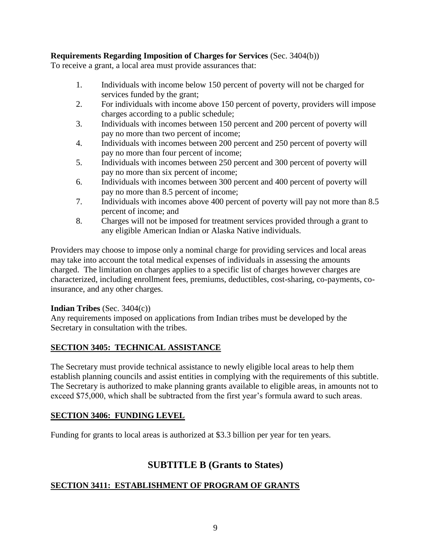### **Requirements Regarding Imposition of Charges for Services** (Sec. 3404(b))

To receive a grant, a local area must provide assurances that:

- 1. Individuals with income below 150 percent of poverty will not be charged for services funded by the grant;
- 2. For individuals with income above 150 percent of poverty, providers will impose charges according to a public schedule;
- 3. Individuals with incomes between 150 percent and 200 percent of poverty will pay no more than two percent of income;
- 4. Individuals with incomes between 200 percent and 250 percent of poverty will pay no more than four percent of income;
- 5. Individuals with incomes between 250 percent and 300 percent of poverty will pay no more than six percent of income;
- 6. Individuals with incomes between 300 percent and 400 percent of poverty will pay no more than 8.5 percent of income;
- 7. Individuals with incomes above 400 percent of poverty will pay not more than 8.5 percent of income; and
- 8. Charges will not be imposed for treatment services provided through a grant to any eligible American Indian or Alaska Native individuals.

Providers may choose to impose only a nominal charge for providing services and local areas may take into account the total medical expenses of individuals in assessing the amounts charged. The limitation on charges applies to a specific list of charges however charges are characterized, including enrollment fees, premiums, deductibles, cost-sharing, co-payments, coinsurance, and any other charges.

#### **Indian Tribes** (Sec. 3404(c))

Any requirements imposed on applications from Indian tribes must be developed by the Secretary in consultation with the tribes.

### **SECTION 3405: TECHNICAL ASSISTANCE**

The Secretary must provide technical assistance to newly eligible local areas to help them establish planning councils and assist entities in complying with the requirements of this subtitle. The Secretary is authorized to make planning grants available to eligible areas, in amounts not to exceed \$75,000, which shall be subtracted from the first year's formula award to such areas.

### **SECTION 3406: FUNDING LEVEL**

Funding for grants to local areas is authorized at \$3.3 billion per year for ten years.

# **SUBTITLE B (Grants to States)**

### **SECTION 3411: ESTABLISHMENT OF PROGRAM OF GRANTS**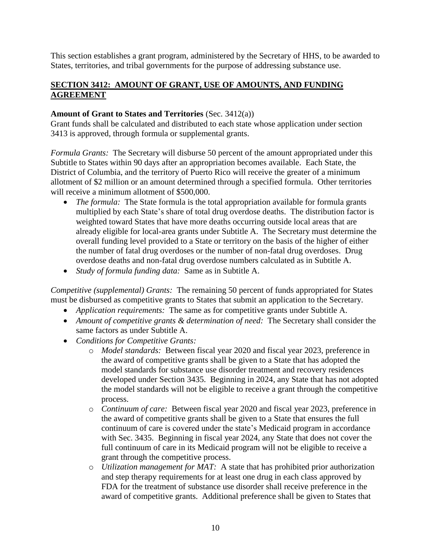This section establishes a grant program, administered by the Secretary of HHS, to be awarded to States, territories, and tribal governments for the purpose of addressing substance use.

### **SECTION 3412: AMOUNT OF GRANT, USE OF AMOUNTS, AND FUNDING AGREEMENT**

#### **Amount of Grant to States and Territories** (Sec. 3412(a))

Grant funds shall be calculated and distributed to each state whose application under section 3413 is approved, through formula or supplemental grants.

*Formula Grants:* The Secretary will disburse 50 percent of the amount appropriated under this Subtitle to States within 90 days after an appropriation becomes available. Each State, the District of Columbia, and the territory of Puerto Rico will receive the greater of a minimum allotment of \$2 million or an amount determined through a specified formula. Other territories will receive a minimum allotment of \$500,000.

- *The formula:* The State formula is the total appropriation available for formula grants multiplied by each State's share of total drug overdose deaths. The distribution factor is weighted toward States that have more deaths occurring outside local areas that are already eligible for local-area grants under Subtitle A. The Secretary must determine the overall funding level provided to a State or territory on the basis of the higher of either the number of fatal drug overdoses or the number of non-fatal drug overdoses. Drug overdose deaths and non-fatal drug overdose numbers calculated as in Subtitle A.
- *Study of formula funding data:* Same as in Subtitle A.

*Competitive (supplemental) Grants:* The remaining 50 percent of funds appropriated for States must be disbursed as competitive grants to States that submit an application to the Secretary.

- *Application requirements:* The same as for competitive grants under Subtitle A.
- *Amount of competitive grants & determination of need:* The Secretary shall consider the same factors as under Subtitle A.
- *Conditions for Competitive Grants:*
	- o *Model standards:* Between fiscal year 2020 and fiscal year 2023, preference in the award of competitive grants shall be given to a State that has adopted the model standards for substance use disorder treatment and recovery residences developed under Section 3435. Beginning in 2024, any State that has not adopted the model standards will not be eligible to receive a grant through the competitive process.
	- o *Continuum of care:* Between fiscal year 2020 and fiscal year 2023, preference in the award of competitive grants shall be given to a State that ensures the full continuum of care is covered under the state's Medicaid program in accordance with Sec. 3435. Beginning in fiscal year 2024, any State that does not cover the full continuum of care in its Medicaid program will not be eligible to receive a grant through the competitive process.
	- o *Utilization management for MAT:* A state that has prohibited prior authorization and step therapy requirements for at least one drug in each class approved by FDA for the treatment of substance use disorder shall receive preference in the award of competitive grants. Additional preference shall be given to States that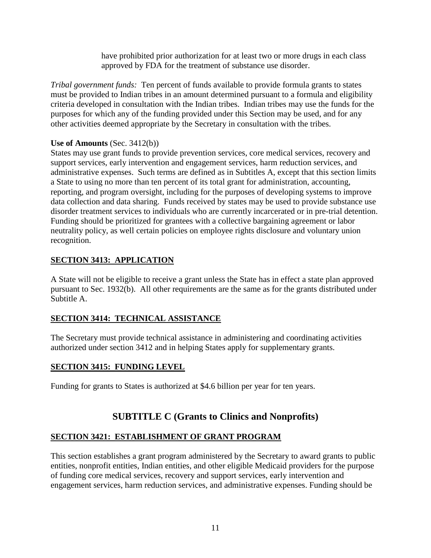have prohibited prior authorization for at least two or more drugs in each class approved by FDA for the treatment of substance use disorder.

*Tribal government funds:* Ten percent of funds available to provide formula grants to states must be provided to Indian tribes in an amount determined pursuant to a formula and eligibility criteria developed in consultation with the Indian tribes. Indian tribes may use the funds for the purposes for which any of the funding provided under this Section may be used, and for any other activities deemed appropriate by the Secretary in consultation with the tribes.

### **Use of Amounts** (Sec. 3412(b))

States may use grant funds to provide prevention services, core medical services, recovery and support services, early intervention and engagement services, harm reduction services, and administrative expenses. Such terms are defined as in Subtitles A, except that this section limits a State to using no more than ten percent of its total grant for administration, accounting, reporting, and program oversight, including for the purposes of developing systems to improve data collection and data sharing. Funds received by states may be used to provide substance use disorder treatment services to individuals who are currently incarcerated or in pre-trial detention. Funding should be prioritized for grantees with a collective bargaining agreement or labor neutrality policy, as well certain policies on employee rights disclosure and voluntary union recognition.

### **SECTION 3413: APPLICATION**

A State will not be eligible to receive a grant unless the State has in effect a state plan approved pursuant to Sec. 1932(b). All other requirements are the same as for the grants distributed under Subtitle A.

### **SECTION 3414: TECHNICAL ASSISTANCE**

The Secretary must provide technical assistance in administering and coordinating activities authorized under section 3412 and in helping States apply for supplementary grants.

### **SECTION 3415: FUNDING LEVEL**

Funding for grants to States is authorized at \$4.6 billion per year for ten years.

# **SUBTITLE C (Grants to Clinics and Nonprofits)**

### **SECTION 3421: ESTABLISHMENT OF GRANT PROGRAM**

This section establishes a grant program administered by the Secretary to award grants to public entities, nonprofit entities, Indian entities, and other eligible Medicaid providers for the purpose of funding core medical services, recovery and support services, early intervention and engagement services, harm reduction services, and administrative expenses. Funding should be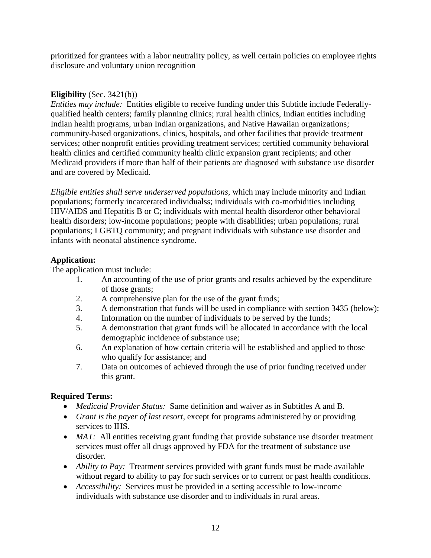prioritized for grantees with a labor neutrality policy, as well certain policies on employee rights disclosure and voluntary union recognition

### **Eligibility** (Sec. 3421(b))

*Entities may include:* Entities eligible to receive funding under this Subtitle include Federallyqualified health centers; family planning clinics; rural health clinics, Indian entities including Indian health programs, urban Indian organizations, and Native Hawaiian organizations; community-based organizations, clinics, hospitals, and other facilities that provide treatment services; other nonprofit entities providing treatment services; certified community behavioral health clinics and certified community health clinic expansion grant recipients; and other Medicaid providers if more than half of their patients are diagnosed with substance use disorder and are covered by Medicaid.

*Eligible entities shall serve underserved populations*, which may include minority and Indian populations; formerly incarcerated individualss; individuals with co-morbidities including HIV/AIDS and Hepatitis B or C; individuals with mental health disorderor other behavioral health disorders; low-income populations; people with disabilities; urban populations; rural populations; LGBTQ community; and pregnant individuals with substance use disorder and infants with neonatal abstinence syndrome.

### **Application:**

The application must include:

- 1. An accounting of the use of prior grants and results achieved by the expenditure of those grants;
- 2. A comprehensive plan for the use of the grant funds;
- 3. A demonstration that funds will be used in compliance with section 3435 (below);
- 4. Information on the number of individuals to be served by the funds;
- 5. A demonstration that grant funds will be allocated in accordance with the local demographic incidence of substance use;
- 6. An explanation of how certain criteria will be established and applied to those who qualify for assistance; and
- 7. Data on outcomes of achieved through the use of prior funding received under this grant.

### **Required Terms:**

- *Medicaid Provider Status:* Same definition and waiver as in Subtitles A and B.
- *Grant is the payer of last resort*, except for programs administered by or providing services to IHS.
- *MAT*: All entities receiving grant funding that provide substance use disorder treatment services must offer all drugs approved by FDA for the treatment of substance use disorder.
- *Ability to Pay:* Treatment services provided with grant funds must be made available without regard to ability to pay for such services or to current or past health conditions.
- *Accessibility:* Services must be provided in a setting accessible to low-income individuals with substance use disorder and to individuals in rural areas.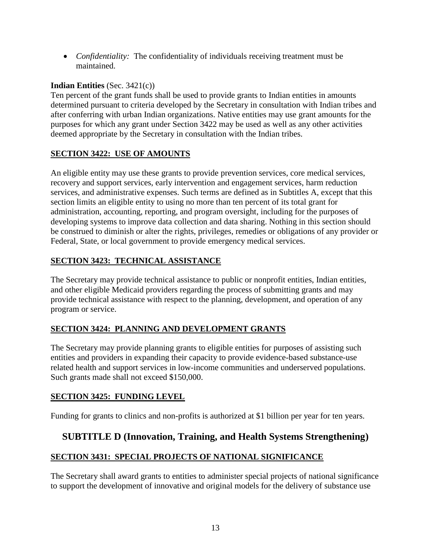*Confidentiality:* The confidentiality of individuals receiving treatment must be maintained.

# **Indian Entities** (Sec. 3421(c))

Ten percent of the grant funds shall be used to provide grants to Indian entities in amounts determined pursuant to criteria developed by the Secretary in consultation with Indian tribes and after conferring with urban Indian organizations. Native entities may use grant amounts for the purposes for which any grant under Section 3422 may be used as well as any other activities deemed appropriate by the Secretary in consultation with the Indian tribes.

# **SECTION 3422: USE OF AMOUNTS**

An eligible entity may use these grants to provide prevention services, core medical services, recovery and support services, early intervention and engagement services, harm reduction services, and administrative expenses. Such terms are defined as in Subtitles A, except that this section limits an eligible entity to using no more than ten percent of its total grant for administration, accounting, reporting, and program oversight, including for the purposes of developing systems to improve data collection and data sharing. Nothing in this section should be construed to diminish or alter the rights, privileges, remedies or obligations of any provider or Federal, State, or local government to provide emergency medical services.

### **SECTION 3423: TECHNICAL ASSISTANCE**

The Secretary may provide technical assistance to public or nonprofit entities, Indian entities, and other eligible Medicaid providers regarding the process of submitting grants and may provide technical assistance with respect to the planning, development, and operation of any program or service.

# **SECTION 3424: PLANNING AND DEVELOPMENT GRANTS**

The Secretary may provide planning grants to eligible entities for purposes of assisting such entities and providers in expanding their capacity to provide evidence-based substance-use related health and support services in low-income communities and underserved populations. Such grants made shall not exceed \$150,000.

### **SECTION 3425: FUNDING LEVEL**

Funding for grants to clinics and non-profits is authorized at \$1 billion per year for ten years.

# **SUBTITLE D (Innovation, Training, and Health Systems Strengthening)**

### **SECTION 3431: SPECIAL PROJECTS OF NATIONAL SIGNIFICANCE**

The Secretary shall award grants to entities to administer special projects of national significance to support the development of innovative and original models for the delivery of substance use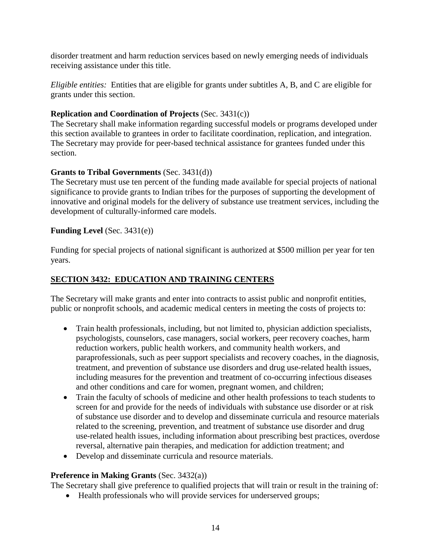disorder treatment and harm reduction services based on newly emerging needs of individuals receiving assistance under this title.

*Eligible entities:* Entities that are eligible for grants under subtitles A, B, and C are eligible for grants under this section.

### **Replication and Coordination of Projects** (Sec. 3431(c))

The Secretary shall make information regarding successful models or programs developed under this section available to grantees in order to facilitate coordination, replication, and integration. The Secretary may provide for peer-based technical assistance for grantees funded under this section.

### **Grants to Tribal Governments** (Sec. 3431(d))

The Secretary must use ten percent of the funding made available for special projects of national significance to provide grants to Indian tribes for the purposes of supporting the development of innovative and original models for the delivery of substance use treatment services, including the development of culturally-informed care models.

### **Funding Level** (Sec. 3431(e))

Funding for special projects of national significant is authorized at \$500 million per year for ten years.

# **SECTION 3432: EDUCATION AND TRAINING CENTERS**

The Secretary will make grants and enter into contracts to assist public and nonprofit entities, public or nonprofit schools, and academic medical centers in meeting the costs of projects to:

- Train health professionals, including, but not limited to, physician addiction specialists, psychologists, counselors, case managers, social workers, peer recovery coaches, harm reduction workers, public health workers, and community health workers, and paraprofessionals, such as peer support specialists and recovery coaches, in the diagnosis, treatment, and prevention of substance use disorders and drug use-related health issues, including measures for the prevention and treatment of co-occurring infectious diseases and other conditions and care for women, pregnant women, and children;
- Train the faculty of schools of medicine and other health professions to teach students to screen for and provide for the needs of individuals with substance use disorder or at risk of substance use disorder and to develop and disseminate curricula and resource materials related to the screening, prevention, and treatment of substance use disorder and drug use-related health issues, including information about prescribing best practices, overdose reversal, alternative pain therapies, and medication for addiction treatment; and
- Develop and disseminate curricula and resource materials.

### **Preference in Making Grants** (Sec. 3432(a))

The Secretary shall give preference to qualified projects that will train or result in the training of:

Health professionals who will provide services for underserved groups;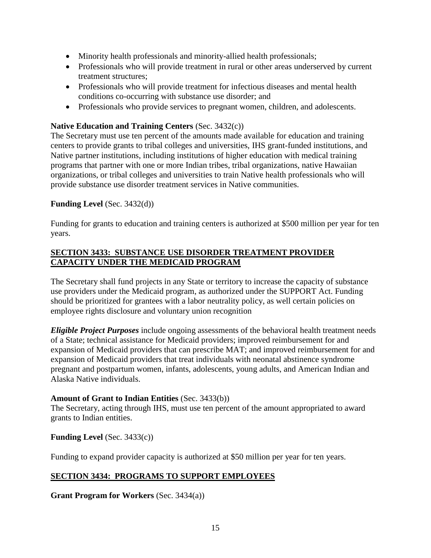- Minority health professionals and minority-allied health professionals;
- Professionals who will provide treatment in rural or other areas underserved by current treatment structures;
- Professionals who will provide treatment for infectious diseases and mental health conditions co-occurring with substance use disorder; and
- Professionals who provide services to pregnant women, children, and adolescents.

### **Native Education and Training Centers** (Sec. 3432(c))

The Secretary must use ten percent of the amounts made available for education and training centers to provide grants to tribal colleges and universities, IHS grant-funded institutions, and Native partner institutions, including institutions of higher education with medical training programs that partner with one or more Indian tribes, tribal organizations, native Hawaiian organizations, or tribal colleges and universities to train Native health professionals who will provide substance use disorder treatment services in Native communities.

### **Funding Level** (Sec. 3432(d))

Funding for grants to education and training centers is authorized at \$500 million per year for ten years.

### **SECTION 3433: SUBSTANCE USE DISORDER TREATMENT PROVIDER CAPACITY UNDER THE MEDICAID PROGRAM**

The Secretary shall fund projects in any State or territory to increase the capacity of substance use providers under the Medicaid program, as authorized under the SUPPORT Act. Funding should be prioritized for grantees with a labor neutrality policy, as well certain policies on employee rights disclosure and voluntary union recognition

*Eligible Project Purposes* include ongoing assessments of the behavioral health treatment needs of a State; technical assistance for Medicaid providers; improved reimbursement for and expansion of Medicaid providers that can prescribe MAT; and improved reimbursement for and expansion of Medicaid providers that treat individuals with neonatal abstinence syndrome pregnant and postpartum women, infants, adolescents, young adults, and American Indian and Alaska Native individuals.

### **Amount of Grant to Indian Entities** (Sec. 3433(b))

The Secretary, acting through IHS, must use ten percent of the amount appropriated to award grants to Indian entities.

### **Funding Level** (Sec. 3433(c))

Funding to expand provider capacity is authorized at \$50 million per year for ten years.

# **SECTION 3434: PROGRAMS TO SUPPORT EMPLOYEES**

**Grant Program for Workers** (Sec. 3434(a))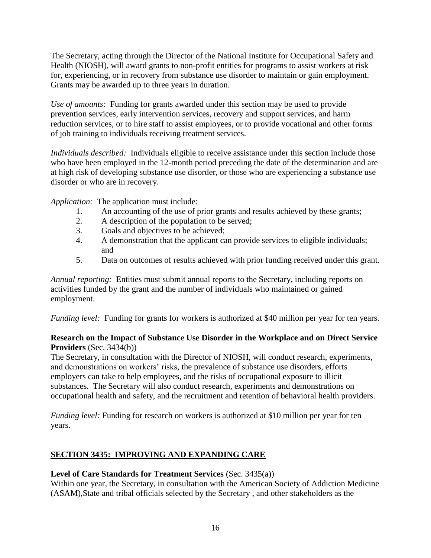The Secretary, acting through the Director of the National Institute for Occupational Safety and Health (NIOSH), will award grants to non-profit entities for programs to assist workers at risk for, experiencing, or in recovery from substance use disorder to maintain or gain employment. Grants may be awarded up to three years in duration.

*Use of amounts:* Funding for grants awarded under this section may be used to provide prevention services, early intervention services, recovery and support services, and harm reduction services, or to hire staff to assist employees, or to provide vocational and other forms of job training to individuals receiving treatment services.

*Individuals described:* Individuals eligible to receive assistance under this section include those who have been employed in the 12-month period preceding the date of the determination and are at high risk of developing substance use disorder, or those who are experiencing a substance use disorder or who are in recovery.

*Application:* The application must include:

- 1. An accounting of the use of prior grants and results achieved by these grants;
- 2. A description of the population to be served;
- 3. Goals and objectives to be achieved;
- 4. A demonstration that the applicant can provide services to eligible individuals; and
- 5. Data on outcomes of results achieved with prior funding received under this grant.

*Annual reporting:* Entities must submit annual reports to the Secretary, including reports on activities funded by the grant and the number of individuals who maintained or gained employment.

*Funding level:* Funding for grants for workers is authorized at \$40 million per year for ten years.

#### **Research on the Impact of Substance Use Disorder in the Workplace and on Direct Service Providers** (Sec. 3434(b))

The Secretary, in consultation with the Director of NIOSH, will conduct research, experiments, and demonstrations on workers' risks, the prevalence of substance use disorders, efforts employers can take to help employees, and the risks of occupational exposure to illicit substances. The Secretary will also conduct research, experiments and demonstrations on occupational health and safety, and the recruitment and retention of behavioral health providers.

*Funding level:* Funding for research on workers is authorized at \$10 million per year for ten years.

# **SECTION 3435: IMPROVING AND EXPANDING CARE**

#### **Level of Care Standards for Treatment Services** (Sec. 3435(a))

Within one year, the Secretary, in consultation with the American Society of Addiction Medicine (ASAM),State and tribal officials selected by the Secretary , and other stakeholders as the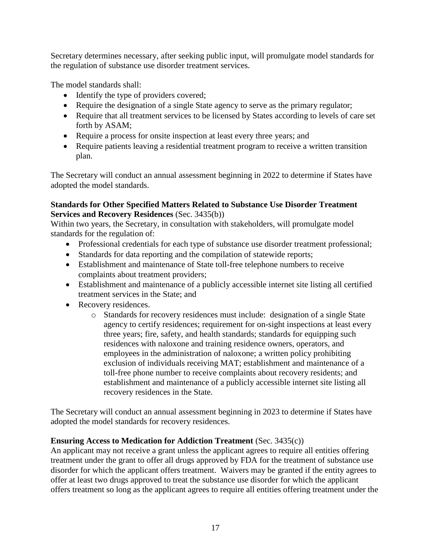Secretary determines necessary, after seeking public input, will promulgate model standards for the regulation of substance use disorder treatment services.

The model standards shall:

- Identify the type of providers covered;
- Require the designation of a single State agency to serve as the primary regulator;
- Require that all treatment services to be licensed by States according to levels of care set forth by ASAM;
- Require a process for onsite inspection at least every three years; and
- Require patients leaving a residential treatment program to receive a written transition plan.

The Secretary will conduct an annual assessment beginning in 2022 to determine if States have adopted the model standards.

#### **Standards for Other Specified Matters Related to Substance Use Disorder Treatment Services and Recovery Residences** (Sec. 3435(b))

Within two years, the Secretary, in consultation with stakeholders, will promulgate model standards for the regulation of:

- Professional credentials for each type of substance use disorder treatment professional;
- Standards for data reporting and the compilation of statewide reports;
- Establishment and maintenance of State toll-free telephone numbers to receive complaints about treatment providers;
- Establishment and maintenance of a publicly accessible internet site listing all certified treatment services in the State; and
- Recovery residences.
	- o Standards for recovery residences must include: designation of a single State agency to certify residences; requirement for on-sight inspections at least every three years; fire, safety, and health standards; standards for equipping such residences with naloxone and training residence owners, operators, and employees in the administration of naloxone; a written policy prohibiting exclusion of individuals receiving MAT; establishment and maintenance of a toll-free phone number to receive complaints about recovery residents; and establishment and maintenance of a publicly accessible internet site listing all recovery residences in the State.

The Secretary will conduct an annual assessment beginning in 2023 to determine if States have adopted the model standards for recovery residences.

### **Ensuring Access to Medication for Addiction Treatment** (Sec. 3435(c))

An applicant may not receive a grant unless the applicant agrees to require all entities offering treatment under the grant to offer all drugs approved by FDA for the treatment of substance use disorder for which the applicant offers treatment. Waivers may be granted if the entity agrees to offer at least two drugs approved to treat the substance use disorder for which the applicant offers treatment so long as the applicant agrees to require all entities offering treatment under the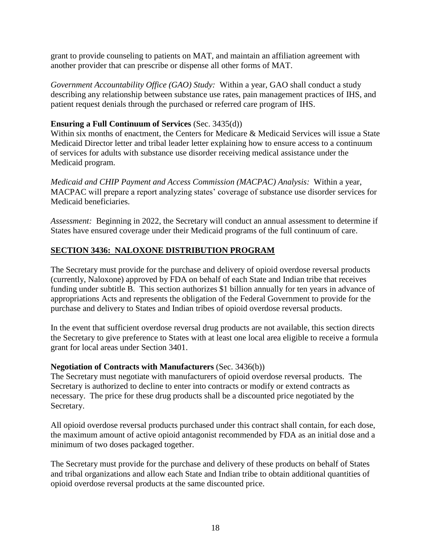grant to provide counseling to patients on MAT, and maintain an affiliation agreement with another provider that can prescribe or dispense all other forms of MAT.

*Government Accountability Office (GAO) Study:* Within a year, GAO shall conduct a study describing any relationship between substance use rates, pain management practices of IHS, and patient request denials through the purchased or referred care program of IHS.

### **Ensuring a Full Continuum of Services** (Sec. 3435(d))

Within six months of enactment, the Centers for Medicare & Medicaid Services will issue a State Medicaid Director letter and tribal leader letter explaining how to ensure access to a continuum of services for adults with substance use disorder receiving medical assistance under the Medicaid program.

*Medicaid and CHIP Payment and Access Commission (MACPAC) Analysis:* Within a year, MACPAC will prepare a report analyzing states' coverage of substance use disorder services for Medicaid beneficiaries.

*Assessment:* Beginning in 2022, the Secretary will conduct an annual assessment to determine if States have ensured coverage under their Medicaid programs of the full continuum of care.

# **SECTION 3436: NALOXONE DISTRIBUTION PROGRAM**

The Secretary must provide for the purchase and delivery of opioid overdose reversal products (currently, Naloxone) approved by FDA on behalf of each State and Indian tribe that receives funding under subtitle B. This section authorizes \$1 billion annually for ten years in advance of appropriations Acts and represents the obligation of the Federal Government to provide for the purchase and delivery to States and Indian tribes of opioid overdose reversal products.

In the event that sufficient overdose reversal drug products are not available, this section directs the Secretary to give preference to States with at least one local area eligible to receive a formula grant for local areas under Section 3401.

# **Negotiation of Contracts with Manufacturers** (Sec. 3436(b))

The Secretary must negotiate with manufacturers of opioid overdose reversal products. The Secretary is authorized to decline to enter into contracts or modify or extend contracts as necessary. The price for these drug products shall be a discounted price negotiated by the Secretary.

All opioid overdose reversal products purchased under this contract shall contain, for each dose, the maximum amount of active opioid antagonist recommended by FDA as an initial dose and a minimum of two doses packaged together.

The Secretary must provide for the purchase and delivery of these products on behalf of States and tribal organizations and allow each State and Indian tribe to obtain additional quantities of opioid overdose reversal products at the same discounted price.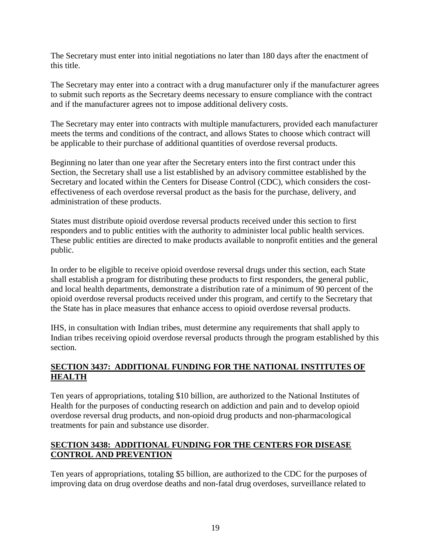The Secretary must enter into initial negotiations no later than 180 days after the enactment of this title.

The Secretary may enter into a contract with a drug manufacturer only if the manufacturer agrees to submit such reports as the Secretary deems necessary to ensure compliance with the contract and if the manufacturer agrees not to impose additional delivery costs.

The Secretary may enter into contracts with multiple manufacturers, provided each manufacturer meets the terms and conditions of the contract, and allows States to choose which contract will be applicable to their purchase of additional quantities of overdose reversal products.

Beginning no later than one year after the Secretary enters into the first contract under this Section, the Secretary shall use a list established by an advisory committee established by the Secretary and located within the Centers for Disease Control (CDC), which considers the costeffectiveness of each overdose reversal product as the basis for the purchase, delivery, and administration of these products.

States must distribute opioid overdose reversal products received under this section to first responders and to public entities with the authority to administer local public health services. These public entities are directed to make products available to nonprofit entities and the general public.

In order to be eligible to receive opioid overdose reversal drugs under this section, each State shall establish a program for distributing these products to first responders, the general public, and local health departments, demonstrate a distribution rate of a minimum of 90 percent of the opioid overdose reversal products received under this program, and certify to the Secretary that the State has in place measures that enhance access to opioid overdose reversal products.

IHS, in consultation with Indian tribes, must determine any requirements that shall apply to Indian tribes receiving opioid overdose reversal products through the program established by this section.

# **SECTION 3437: ADDITIONAL FUNDING FOR THE NATIONAL INSTITUTES OF HEALTH**

Ten years of appropriations, totaling \$10 billion, are authorized to the National Institutes of Health for the purposes of conducting research on addiction and pain and to develop opioid overdose reversal drug products, and non-opioid drug products and non-pharmacological treatments for pain and substance use disorder.

### **SECTION 3438: ADDITIONAL FUNDING FOR THE CENTERS FOR DISEASE CONTROL AND PREVENTION**

Ten years of appropriations, totaling \$5 billion, are authorized to the CDC for the purposes of improving data on drug overdose deaths and non-fatal drug overdoses, surveillance related to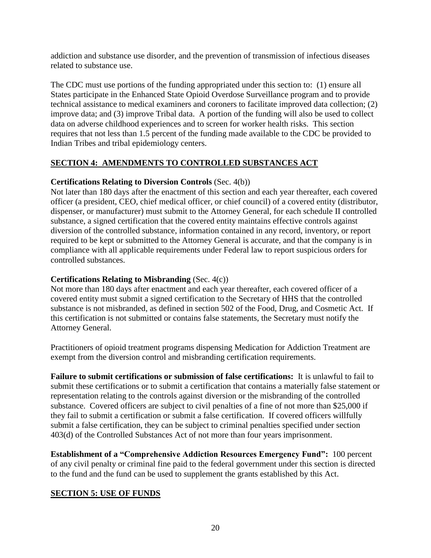addiction and substance use disorder, and the prevention of transmission of infectious diseases related to substance use.

The CDC must use portions of the funding appropriated under this section to: (1) ensure all States participate in the Enhanced State Opioid Overdose Surveillance program and to provide technical assistance to medical examiners and coroners to facilitate improved data collection; (2) improve data; and (3) improve Tribal data. A portion of the funding will also be used to collect data on adverse childhood experiences and to screen for worker health risks. This section requires that not less than 1.5 percent of the funding made available to the CDC be provided to Indian Tribes and tribal epidemiology centers.

### **SECTION 4: AMENDMENTS TO CONTROLLED SUBSTANCES ACT**

### **Certifications Relating to Diversion Controls** (Sec. 4(b))

Not later than 180 days after the enactment of this section and each year thereafter, each covered officer (a president, CEO, chief medical officer, or chief council) of a covered entity (distributor, dispenser, or manufacturer) must submit to the Attorney General, for each schedule II controlled substance, a signed certification that the covered entity maintains effective controls against diversion of the controlled substance, information contained in any record, inventory, or report required to be kept or submitted to the Attorney General is accurate, and that the company is in compliance with all applicable requirements under Federal law to report suspicious orders for controlled substances.

### **Certifications Relating to Misbranding** (Sec. 4(c))

Not more than 180 days after enactment and each year thereafter, each covered officer of a covered entity must submit a signed certification to the Secretary of HHS that the controlled substance is not misbranded, as defined in section 502 of the Food, Drug, and Cosmetic Act. If this certification is not submitted or contains false statements, the Secretary must notify the Attorney General.

Practitioners of opioid treatment programs dispensing Medication for Addiction Treatment are exempt from the diversion control and misbranding certification requirements.

**Failure to submit certifications or submission of false certifications:** It is unlawful to fail to submit these certifications or to submit a certification that contains a materially false statement or representation relating to the controls against diversion or the misbranding of the controlled substance. Covered officers are subject to civil penalties of a fine of not more than \$25,000 if they fail to submit a certification or submit a false certification. If covered officers willfully submit a false certification, they can be subject to criminal penalties specified under section 403(d) of the Controlled Substances Act of not more than four years imprisonment.

**Establishment of a "Comprehensive Addiction Resources Emergency Fund":** 100 percent of any civil penalty or criminal fine paid to the federal government under this section is directed to the fund and the fund can be used to supplement the grants established by this Act.

# **SECTION 5: USE OF FUNDS**